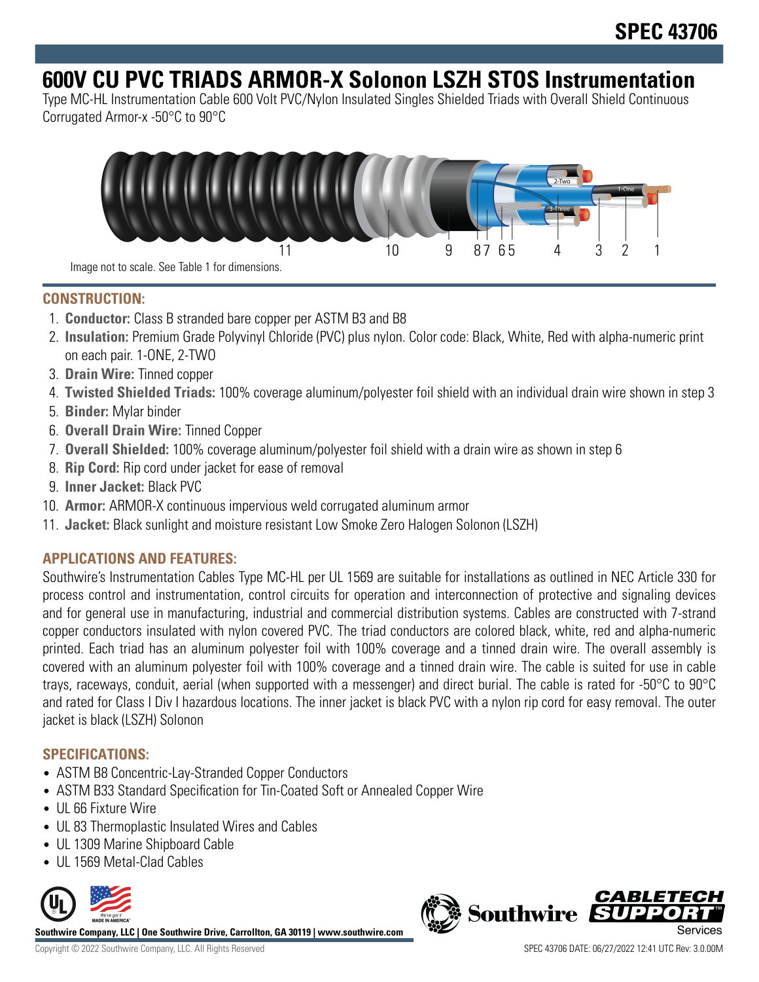# **600V CU PVC TRIADS ARMOR-X Solonon LSZH STOS Instrumentation**

Type MC-HL Instrumentation Cable 600 Volt PVC/Nylon Insulated Singles Shielded Triads with Overall Shield Continuous Corrugated Armor-x -50°C to 90°C



# **CONSTRUCTION:**

- 1. **Conductor:** Class B stranded bare copper per ASTM B3 and B8
- 2. **Insulation:** Premium Grade Polyvinyl Chloride (PVC) plus nylon. Color code: Black, White, Red with alpha-numeric print on each pair. 1-ONE, 2-TWO
- 3. **Drain Wire:** Tinned copper
- 4. **Twisted Shielded Triads:** 100% coverage aluminum/polyester foil shield with an individual drain wire shown in step 3
- 5. **Binder:** Mylar binder
- 6. **Overall Drain Wire:** Tinned Copper
- 7. **Overall Shielded:** 100% coverage aluminum/polyester foil shield with a drain wire as shown in step 6
- 8. **Rip Cord:** Rip cord under jacket for ease of removal
- 9. **Inner Jacket:** Black PVC
- 10. **Armor:** ARMOR-X continuous impervious weld corrugated aluminum armor
- 11. **Jacket:** Black sunlight and moisture resistant Low Smoke Zero Halogen Solonon (LSZH)

# **APPLICATIONS AND FEATURES:**

Southwire's Instrumentation Cables Type MC-HL per UL 1569 are suitable for installations as outlined in NEC Article 330 for process control and instrumentation, control circuits for operation and interconnection of protective and signaling devices and for general use in manufacturing, industrial and commercial distribution systems. Cables are constructed with 7-strand copper conductors insulated with nylon covered PVC. The triad conductors are colored black, white, red and alpha-numeric printed. Each triad has an aluminum polyester foil with 100% coverage and a tinned drain wire. The overall assembly is covered with an aluminum polyester foil with 100% coverage and a tinned drain wire. The cable is suited for use in cable trays, raceways, conduit, aerial (when supported with a messenger) and direct burial. The cable is rated for -50°C to 90°C and rated for Class I Div I hazardous locations. The inner jacket is black PVC with a nylon rip cord for easy removal. The outer jacket is black (LSZH) Solonon

### **SPECIFICATIONS:**

- ASTM B8 Concentric-Lay-Stranded Copper Conductors
- ASTM B33 Standard Specification for Tin-Coated Soft or Annealed Copper Wire
- UL 66 Fixture Wire
- UL 83 Thermoplastic Insulated Wires and Cables
- UL 1309 Marine Shipboard Cable
- UL 1569 Metal-Clad Cables



**Southwire Company, LLC | One Southwire Drive, Carrollton, GA 30119 | www.southwire.com**